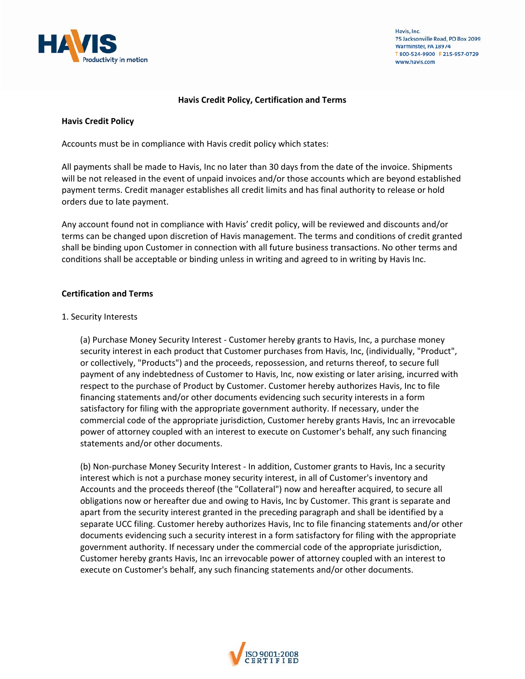

Havis, Inc. 75 Jacksonville Road, PO Box 2099 Warminster, PA 18974 T 800-524-9900 F 215-957-0729 www.havis.com

## **Havis Credit Policy, Certification and Terms**

### **Havis Credit Policy**

Accounts must be in compliance with Havis credit policy which states:

All payments shall be made to Havis, Inc no later than 30 days from the date of the invoice. Shipments will be not released in the event of unpaid invoices and/or those accounts which are beyond established payment terms. Credit manager establishes all credit limits and has final authority to release or hold orders due to late payment.

Any account found not in compliance with Havis' credit policy, will be reviewed and discounts and/or terms can be changed upon discretion of Havis management. The terms and conditions of credit granted shall be binding upon Customer in connection with all future business transactions. No other terms and conditions shall be acceptable or binding unless in writing and agreed to in writing by Havis Inc.

## **Certification and Terms**

#### 1. Security Interests

(a) Purchase Money Security Interest ‐ Customer hereby grants to Havis, Inc, a purchase money security interest in each product that Customer purchases from Havis, Inc, (individually, "Product", or collectively, "Products") and the proceeds, repossession, and returns thereof, to secure full payment of any indebtedness of Customer to Havis, Inc, now existing or later arising, incurred with respect to the purchase of Product by Customer. Customer hereby authorizes Havis, Inc to file financing statements and/or other documents evidencing such security interests in a form satisfactory for filing with the appropriate government authority. If necessary, under the commercial code of the appropriate jurisdiction, Customer hereby grants Havis, Inc an irrevocable power of attorney coupled with an interest to execute on Customer's behalf, any such financing statements and/or other documents.

(b) Non‐purchase Money Security Interest ‐ In addition, Customer grants to Havis, Inc a security interest which is not a purchase money security interest, in all of Customer's inventory and Accounts and the proceeds thereof (the "Collateral") now and hereafter acquired, to secure all obligations now or hereafter due and owing to Havis, Inc by Customer. This grant is separate and apart from the security interest granted in the preceding paragraph and shall be identified by a separate UCC filing. Customer hereby authorizes Havis, Inc to file financing statements and/or other documents evidencing such a security interest in a form satisfactory for filing with the appropriate government authority. If necessary under the commercial code of the appropriate jurisdiction, Customer hereby grants Havis, Inc an irrevocable power of attorney coupled with an interest to execute on Customer's behalf, any such financing statements and/or other documents.